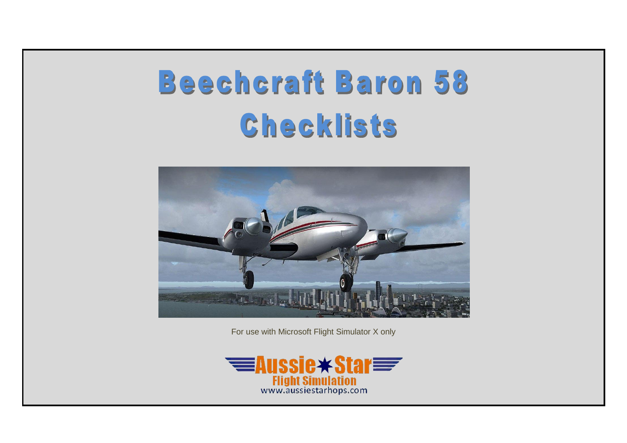# **Beechcraft Baron 58** Checklists



For use with Microsoft Flight Simulator X only

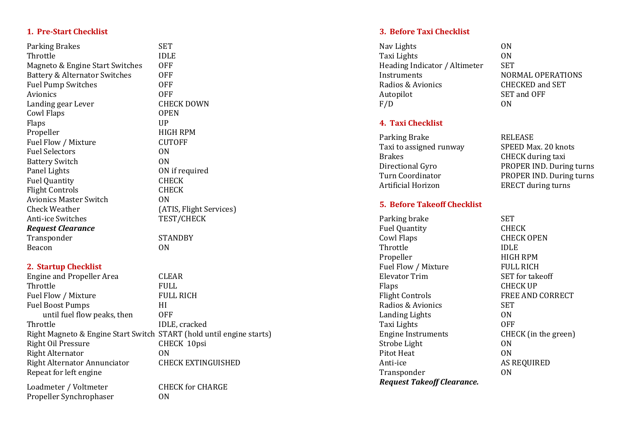#### **1. Pre -Start Checklist**

Parking Brakes SET Throttle **IDLE** Magneto & Engine Start Switches OFF Battery & Alternator Switches OFF Fuel Pump Switches **OFF** Avionics OFF Landing gear Lever CHECK DOWN Cowl Flaps OPEN Flaps UP Propeller HIGH RPM Fuel Flow / Mixture CUTOFF Fuel Selectors ON Battery Switch **ON** Panel Lights **ON** if required Fuel Quantity **CHECK** Flight Controls **CHECK** Avionics Master Switch ON Check Weather (ATIS, Flight Services) **Anti-ice Switches** *Request Clearance* Transponder STANDBY Beacon **ON** 

#### **2. Startup Checklist**

Engine and Propeller Area CLEAR Throttle **FULL** Fuel Flow / Mixture FULL RICH Fuel Boost Pumps HI until fuel flow peaks, then OFF Throttle **IDLE**, cracked Right Magneto & Engine Start Switch START (hold until engine starts) Right Oil Pressure CHECK 10psi Right Alternator ON Right Alternator Annunciator CHECK EXTINGUISHED Repeat for left engine Loadmeter / Voltmeter CHECK for CHARGE

Propeller Synchrophaser ON

TEST/CHECK

#### **3. Before Taxi Checklist**

Nav Lights ON Taxi Lights 0N<br>Heading Indicator / Altimeter 5ET Heading Indicator / Altimeter Instruments NORMAL OPERATIONS Radios & Avionics CHECKED and SET Autopilot SET and OFF F/D ON

#### **4. Taxi Checklist**

Parking Brake<br>Taxi to assigned runway SPEED Max. 20 knots Taxi to assigned runway Brakes CHECK during taxi Artificial Horizon ERECT during turns

#### **5. Before Takeoff Checklist**

Parking brake SET Fuel Quantity **CHECK** Cowl Flaps CHECK OPEN Throttle IDLE Propeller HIGH RPM Fuel Flow / Mixture FULL RICH Elevator Trim SET for takeoff Flaps CHECK UP Flight Controls **FREE AND CORRECT** Radios & Avionics SET Landing Lights ON Taxi Lights OFF Engine Instruments CHECK (in the green) Strobe Light **ON** Pitot Heat ON Anti Transponder **ON** *Request Takeoff Clearance.*

Directional Gyro PROPER IND. During turns Turn Coordinator PROPER IND. During turns

AS REQUIRED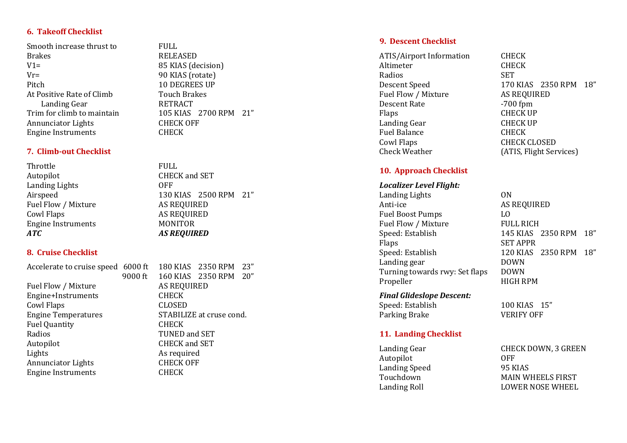#### **6. Takeoff Checklist**

Smooth increase thrust to FULL Brakes RELEASED V1= 85 KIAS (decision) Vr= 90 KIAS (rotate) Pitch 10 DEGREES UP At Positive Rate of Climb Touch Brakes<br>Landing Gear RETRACT Landing Gear<br>Trim for climb to maintain Annunciator Lights CHECK OFF Engine Instruments CHECK

#### **7. Climb -out Checklist**

Throttle FULL Autopilot CHECK and SET Landing Lights OFF Fuel Flow / Mixture AS REQUIRED Cowl Flaps AS REQUIRED Engine Instruments MONITOR *ATC AS REQUIRED*

#### **8. Cruise Checklist**

Fuel Flow / Mixture AS REQUIRED Engine+Instruments CHECK Cowl Flaps CLOSED Fuel Quantity **CHECK** Radios TUNED and SET Autopilot CHECK and SET Lights As required Annunciator Lights CHECK OFF Engine Instruments CHECK

Accelerate to cruise speed 6000 ft 180 KIAS 2350 RPM 23" 9000 ft 160 KIAS 2350 RPM 20" Engine Temperatures STABILIZE at cruse cond.

**9. Descent Checklist**

ATIS/Airport Information CHECK<br>Altimeter CHECK Altimeter Radios SET Descent Speed 170 KIAS 2350 RPM 18" Fuel Flow / Mixture AS REQUIRED Descent Rate  $-700$  fpm Flaps CHECK UP Landing Gear CHECK UP Fuel Balance **CHECK** Cowl Flaps CHECK CLOSED Check Weather (ATIS, Flight Services)

#### **10 . Approach Checklist**

#### *Localizer Level Flight:*

Landing Lights ON Anti Fuel Boost Pumps LO Fuel Flow / Mixture FULL RICH<br>Speed: Establish 145 KIAS Flaps SET APPR Speed: Establish 120 KIAS 2350 RPM 18" Landing gear **DOWN** Turning towards rwy: Set flaps DOWN Propeller HIGH RPM

### *Final Glideslope Descent:*

Speed: Establish Parking Brake **VERIFY OFF** 

AS REQUIRED

100 KIAS 15"

145 KIAS 2350 RPM 18"

## **11. Landing Checklist**

Autopilot OFF Landing Speed 95 KIAS

Landing Gear **CHECK DOWN, 3 GREEN** Touchdown MAIN WHEELS FIRST Landing Roll **LOWER NOSE WHEEL** 

Airspeed 130 KIAS 2500 RPM 21"

105 KIAS 2700 RPM 21"